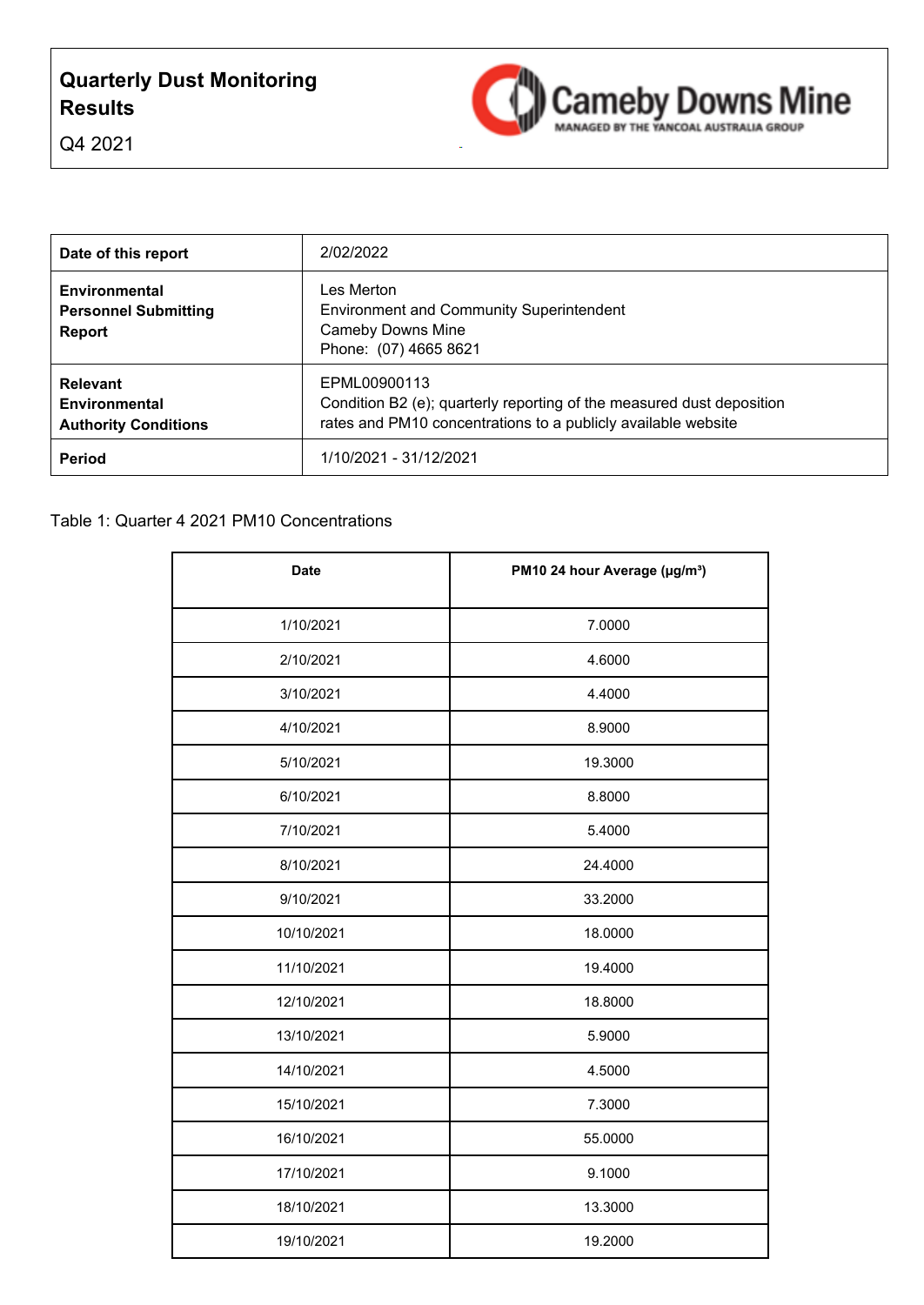# **Quarterly Dust Monitoring Results**



Q4 2021

| Date of this report                                                    | 2/02/2022                                                                                                                                              |
|------------------------------------------------------------------------|--------------------------------------------------------------------------------------------------------------------------------------------------------|
| Environmental<br><b>Personnel Submitting</b><br><b>Report</b>          | Les Merton.<br><b>Environment and Community Superintendent</b><br><b>Cameby Downs Mine</b><br>Phone: (07) 4665 8621                                    |
| <b>Relevant</b><br><b>Environmental</b><br><b>Authority Conditions</b> | EPML00900113<br>Condition B2 (e); quarterly reporting of the measured dust deposition<br>rates and PM10 concentrations to a publicly available website |
| <b>Period</b>                                                          | 1/10/2021 - 31/12/2021                                                                                                                                 |

| <b>Date</b> | PM10 24 hour Average (µg/m <sup>3</sup> ) |
|-------------|-------------------------------------------|
| 1/10/2021   | 7.0000                                    |
| 2/10/2021   | 4.6000                                    |
| 3/10/2021   | 4.4000                                    |
| 4/10/2021   | 8.9000                                    |
| 5/10/2021   | 19.3000                                   |
| 6/10/2021   | 8.8000                                    |
| 7/10/2021   | 5.4000                                    |
| 8/10/2021   | 24.4000                                   |
| 9/10/2021   | 33.2000                                   |
| 10/10/2021  | 18.0000                                   |
| 11/10/2021  | 19.4000                                   |
| 12/10/2021  | 18.8000                                   |
| 13/10/2021  | 5.9000                                    |
| 14/10/2021  | 4.5000                                    |
| 15/10/2021  | 7.3000                                    |
| 16/10/2021  | 55.0000                                   |
| 17/10/2021  | 9.1000                                    |
| 18/10/2021  | 13.3000                                   |
| 19/10/2021  | 19.2000                                   |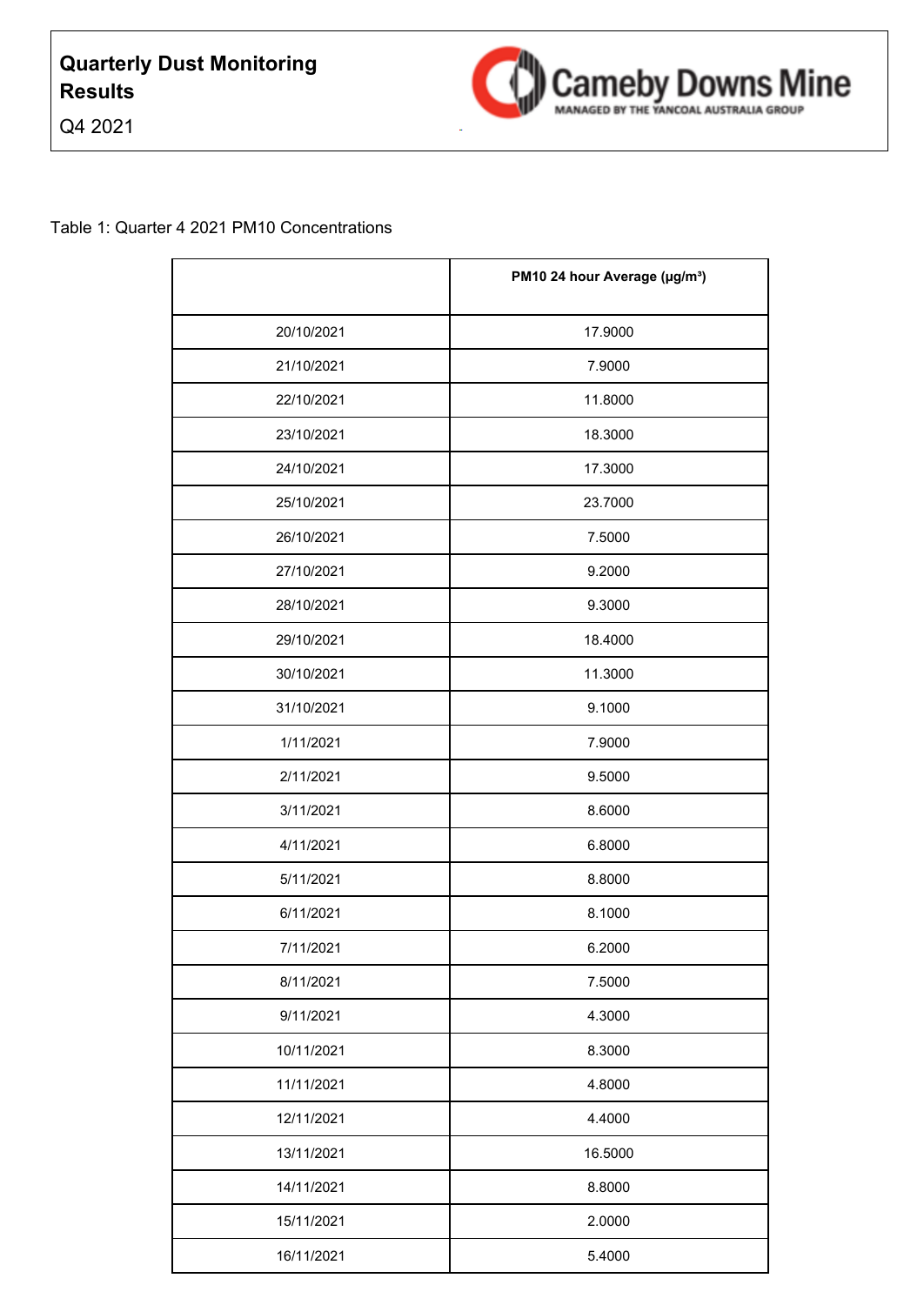



|            | PM10 24 hour Average (µg/m <sup>3</sup> ) |
|------------|-------------------------------------------|
| 20/10/2021 | 17.9000                                   |
| 21/10/2021 | 7.9000                                    |
| 22/10/2021 | 11.8000                                   |
| 23/10/2021 | 18.3000                                   |
| 24/10/2021 | 17.3000                                   |
| 25/10/2021 | 23.7000                                   |
| 26/10/2021 | 7.5000                                    |
| 27/10/2021 | 9.2000                                    |
| 28/10/2021 | 9.3000                                    |
| 29/10/2021 | 18.4000                                   |
| 30/10/2021 | 11.3000                                   |
| 31/10/2021 | 9.1000                                    |
| 1/11/2021  | 7.9000                                    |
| 2/11/2021  | 9.5000                                    |
| 3/11/2021  | 8.6000                                    |
| 4/11/2021  | 6.8000                                    |
| 5/11/2021  | 8.8000                                    |
| 6/11/2021  | 8.1000                                    |
| 7/11/2021  | 6.2000                                    |
| 8/11/2021  | 7.5000                                    |
| 9/11/2021  | 4.3000                                    |
| 10/11/2021 | 8.3000                                    |
| 11/11/2021 | 4.8000                                    |
| 12/11/2021 | 4.4000                                    |
| 13/11/2021 | 16.5000                                   |
| 14/11/2021 | 8.8000                                    |
| 15/11/2021 | 2.0000                                    |
| 16/11/2021 | 5.4000                                    |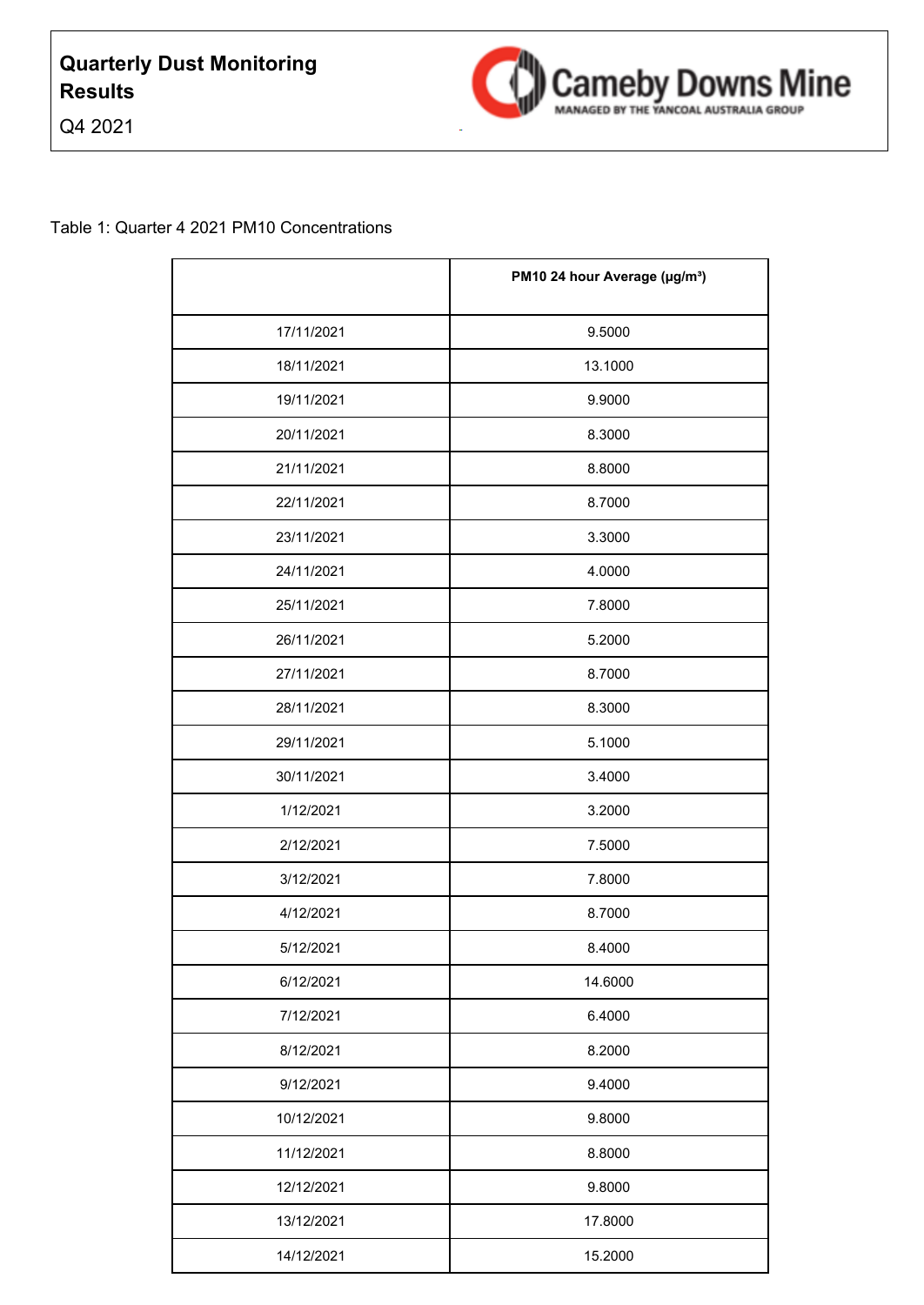



|            | PM10 24 hour Average (µg/m <sup>3</sup> ) |
|------------|-------------------------------------------|
| 17/11/2021 | 9.5000                                    |
| 18/11/2021 | 13.1000                                   |
| 19/11/2021 | 9.9000                                    |
| 20/11/2021 | 8.3000                                    |
| 21/11/2021 | 8.8000                                    |
| 22/11/2021 | 8.7000                                    |
| 23/11/2021 | 3.3000                                    |
| 24/11/2021 | 4.0000                                    |
| 25/11/2021 | 7.8000                                    |
| 26/11/2021 | 5.2000                                    |
| 27/11/2021 | 8.7000                                    |
| 28/11/2021 | 8.3000                                    |
| 29/11/2021 | 5.1000                                    |
| 30/11/2021 | 3.4000                                    |
| 1/12/2021  | 3.2000                                    |
| 2/12/2021  | 7.5000                                    |
| 3/12/2021  | 7.8000                                    |
| 4/12/2021  | 8.7000                                    |
| 5/12/2021  | 8.4000                                    |
| 6/12/2021  | 14.6000                                   |
| 7/12/2021  | 6.4000                                    |
| 8/12/2021  | 8.2000                                    |
| 9/12/2021  | 9.4000                                    |
| 10/12/2021 | 9.8000                                    |
| 11/12/2021 | 8.8000                                    |
| 12/12/2021 | 9.8000                                    |
| 13/12/2021 | 17.8000                                   |
| 14/12/2021 | 15.2000                                   |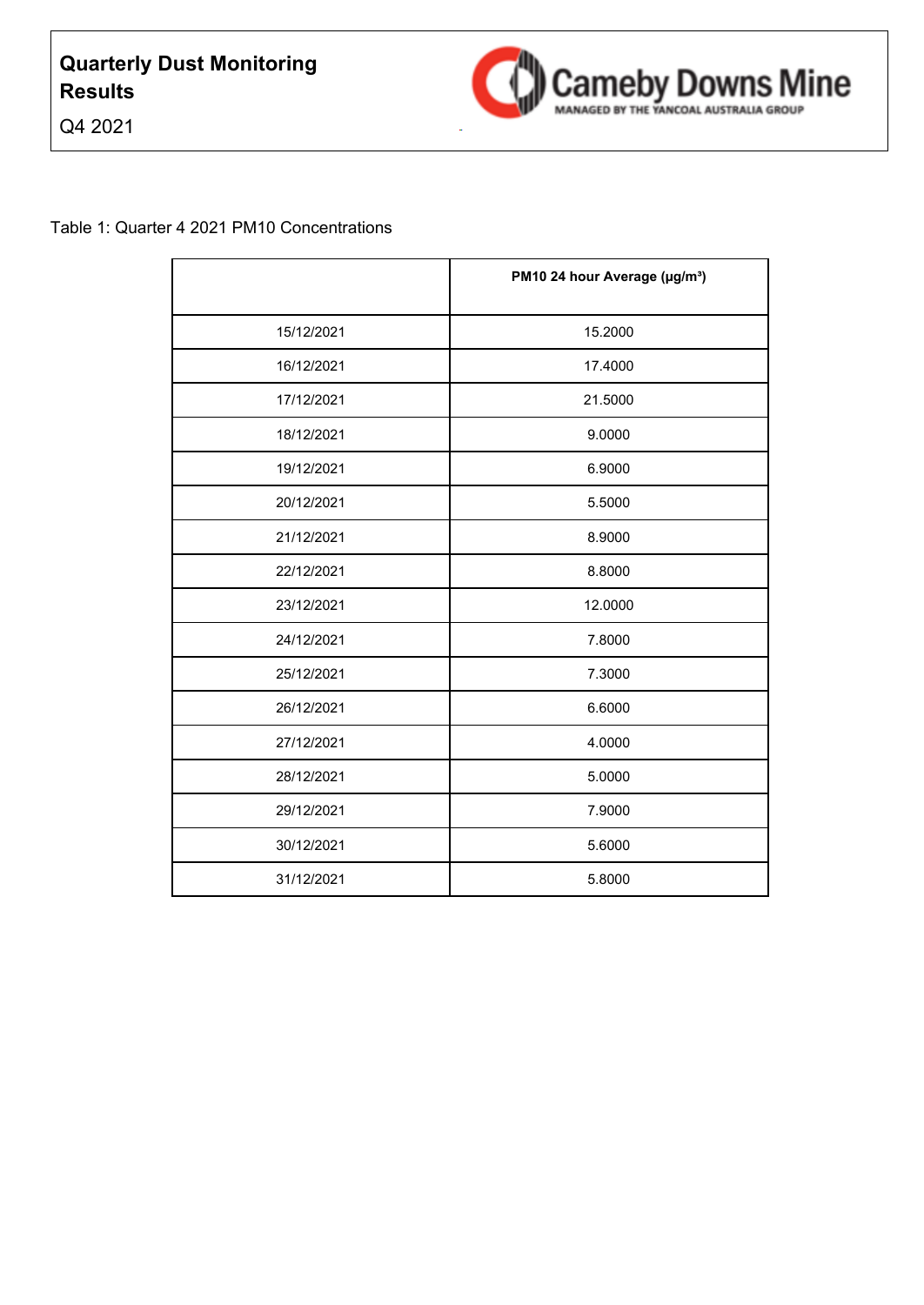



|            | PM10 24 hour Average (µg/m <sup>3</sup> ) |
|------------|-------------------------------------------|
| 15/12/2021 | 15.2000                                   |
| 16/12/2021 | 17.4000                                   |
| 17/12/2021 | 21.5000                                   |
| 18/12/2021 | 9.0000                                    |
| 19/12/2021 | 6.9000                                    |
| 20/12/2021 | 5.5000                                    |
| 21/12/2021 | 8.9000                                    |
| 22/12/2021 | 8.8000                                    |
| 23/12/2021 | 12.0000                                   |
| 24/12/2021 | 7.8000                                    |
| 25/12/2021 | 7.3000                                    |
| 26/12/2021 | 6.6000                                    |
| 27/12/2021 | 4.0000                                    |
| 28/12/2021 | 5.0000                                    |
| 29/12/2021 | 7.9000                                    |
| 30/12/2021 | 5.6000                                    |
| 31/12/2021 | 5.8000                                    |